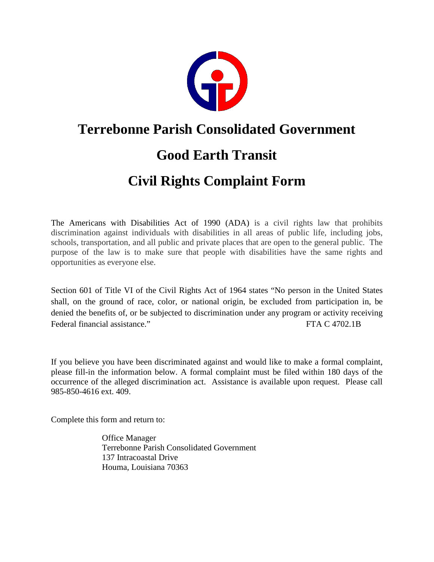

### **Terrebonne Parish Consolidated Government**

## **Good Earth Transit**

# **Civil Rights Complaint Form**

The Americans with Disabilities Act of 1990 (ADA) is a civil rights law that prohibits discrimination against individuals with disabilities in all areas of public life, including jobs, schools, transportation, and all public and private places that are open to the general public. The purpose of the law is to make sure that people with disabilities have the same rights and opportunities as everyone else.

Section 601 of Title VI of the Civil Rights Act of 1964 states "No person in the United States shall, on the ground of race, color, or national origin, be excluded from participation in, be denied the benefits of, or be subjected to discrimination under any program or activity receiving Federal financial assistance." The C 4702.1B

If you believe you have been discriminated against and would like to make a formal complaint, please fill-in the information below. A formal complaint must be filed within 180 days of the occurrence of the alleged discrimination act. Assistance is available upon request. Please call 985-850-4616 ext. 409.

Complete this form and return to:

Office Manager Terrebonne Parish Consolidated Government 137 Intracoastal Drive Houma, Louisiana 70363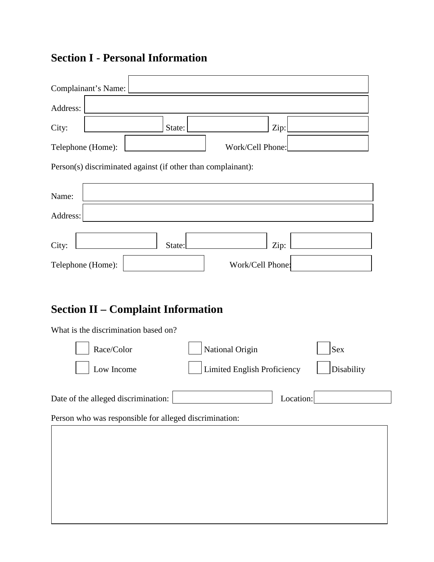### **Section I - Personal Information**

| Complainant's Name:                                          |        |                  |  |  |
|--------------------------------------------------------------|--------|------------------|--|--|
| Address:                                                     |        |                  |  |  |
| City:                                                        | State: | $\rm{Zip:}$      |  |  |
| Work/Cell Phone:<br>Telephone (Home):                        |        |                  |  |  |
| Person(s) discriminated against (if other than complainant): |        |                  |  |  |
| Name:                                                        |        |                  |  |  |
| Address:                                                     |        |                  |  |  |
| City:                                                        | State: | Zip:             |  |  |
| Telephone (Home):                                            |        | Work/Cell Phone: |  |  |

#### **Section II – Complaint Information**

| What is the discrimination based on?                   |                                    |            |  |  |
|--------------------------------------------------------|------------------------------------|------------|--|--|
| Race/Color                                             | National Origin                    | <b>Sex</b> |  |  |
| Low Income                                             | <b>Limited English Proficiency</b> | Disability |  |  |
| Date of the alleged discrimination:<br>Location:       |                                    |            |  |  |
| Person who was responsible for alleged discrimination: |                                    |            |  |  |
|                                                        |                                    |            |  |  |
|                                                        |                                    |            |  |  |
|                                                        |                                    |            |  |  |
|                                                        |                                    |            |  |  |
|                                                        |                                    |            |  |  |
|                                                        |                                    |            |  |  |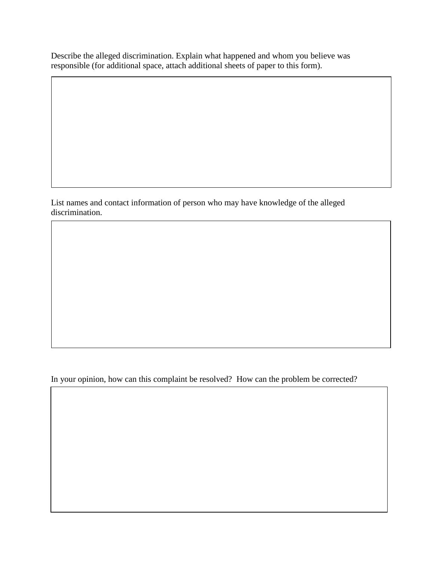Describe the alleged discrimination. Explain what happened and whom you believe was responsible (for additional space, attach additional sheets of paper to this form).

List names and contact information of person who may have knowledge of the alleged discrimination.

In your opinion, how can this complaint be resolved? How can the problem be corrected?